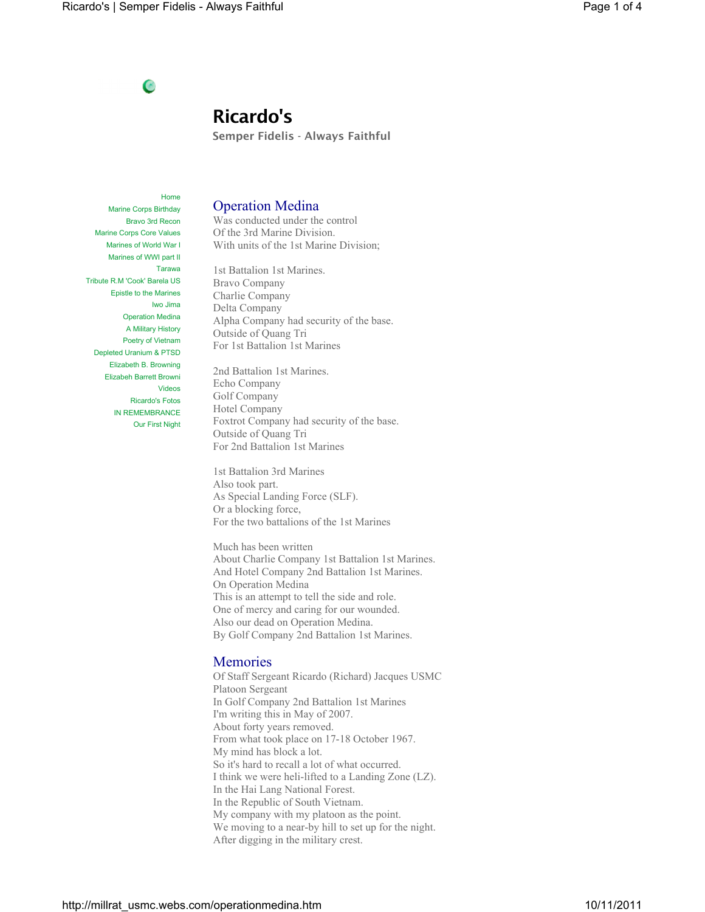## C

# **Ricardo's**

**Semper Fidelis - Always Faithful**

Home Marine Corps Birthday Bravo 3rd Recon Marine Corps Core Values Marines of World War I Marines of WWI part II Tarawa Tribute R.M 'Cook' Barela US Epistle to the Marines Iwo Jima Operation Medina A Military History Poetry of Vietnam Depleted Uranium & PTSD Elizabeth B. Browning Elizabeh Barrett Browni Videos Ricardo's Fotos IN REMEMBRANCE Our First Night

### Operation Medina

Was conducted under the control Of the 3rd Marine Division. With units of the 1st Marine Division;

1st Battalion 1st Marines. Bravo Company Charlie Company Delta Company Alpha Company had security of the base. Outside of Quang Tri For 1st Battalion 1st Marines

2nd Battalion 1st Marines. Echo Company Golf Company Hotel Company Foxtrot Company had security of the base. Outside of Quang Tri For 2nd Battalion 1st Marines

1st Battalion 3rd Marines Also took part. As Special Landing Force (SLF). Or a blocking force, For the two battalions of the 1st Marines

Much has been written About Charlie Company 1st Battalion 1st Marines. And Hotel Company 2nd Battalion 1st Marines. On Operation Medina This is an attempt to tell the side and role. One of mercy and caring for our wounded. Also our dead on Operation Medina. By Golf Company 2nd Battalion 1st Marines.

## Memories

Of Staff Sergeant Ricardo (Richard) Jacques USMC Platoon Sergeant In Golf Company 2nd Battalion 1st Marines I'm writing this in May of 2007. About forty years removed. From what took place on 17-18 October 1967. My mind has block a lot. So it's hard to recall a lot of what occurred. I think we were heli-lifted to a Landing Zone (LZ). In the Hai Lang National Forest. In the Republic of South Vietnam. My company with my platoon as the point. We moving to a near-by hill to set up for the night. After digging in the military crest.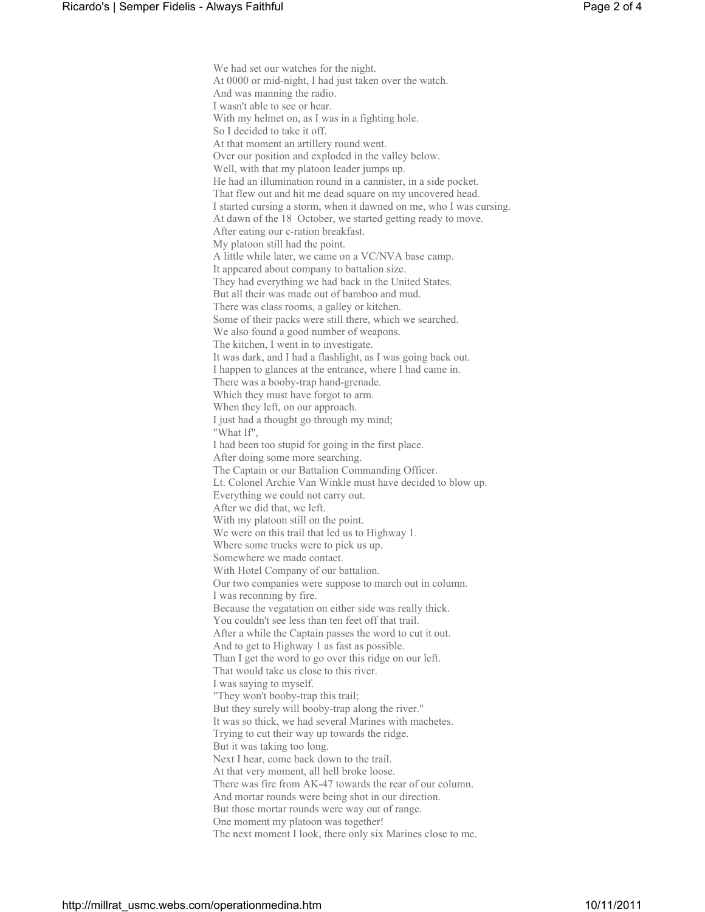We had set our watches for the night. At 0000 or mid-night, I had just taken over the watch. And was manning the radio. I wasn't able to see or hear. With my helmet on, as I was in a fighting hole. So I decided to take it off. At that moment an artillery round went. Over our position and exploded in the valley below. Well, with that my platoon leader jumps up. He had an illumination round in a cannister, in a side pocket. That flew out and hit me dead square on my uncovered head. I started cursing a storm, when it dawned on me, who I was cursing. At dawn of the 18 October, we started getting ready to move. After eating our c-ration breakfast. My platoon still had the point. A little while later, we came on a VC/NVA base camp. It appeared about company to battalion size. They had everything we had back in the United States. But all their was made out of bamboo and mud. There was class rooms, a galley or kitchen. Some of their packs were still there, which we searched. We also found a good number of weapons. The kitchen, I went in to investigate. It was dark, and I had a flashlight, as I was going back out. I happen to glances at the entrance, where I had came in. There was a booby-trap hand-grenade. Which they must have forgot to arm. When they left, on our approach. I just had a thought go through my mind; "What If", I had been too stupid for going in the first place. After doing some more searching. The Captain or our Battalion Commanding Officer. Lt. Colonel Archie Van Winkle must have decided to blow up. Everything we could not carry out. After we did that, we left. With my platoon still on the point. We were on this trail that led us to Highway 1. Where some trucks were to pick us up. Somewhere we made contact. With Hotel Company of our battalion. Our two companies were suppose to march out in column. I was reconning by fire. Because the vegatation on either side was really thick. You couldn't see less than ten feet off that trail. After a while the Captain passes the word to cut it out. And to get to Highway 1 as fast as possible. Than I get the word to go over this ridge on our left. That would take us close to this river. I was saying to myself. "They won't booby-trap this trail; But they surely will booby-trap along the river." It was so thick, we had several Marines with machetes. Trying to cut their way up towards the ridge. But it was taking too long. Next I hear, come back down to the trail. At that very moment, all hell broke loose. There was fire from AK-47 towards the rear of our column. And mortar rounds were being shot in our direction. But those mortar rounds were way out of range. One moment my platoon was together! The next moment I look, there only six Marines close to me.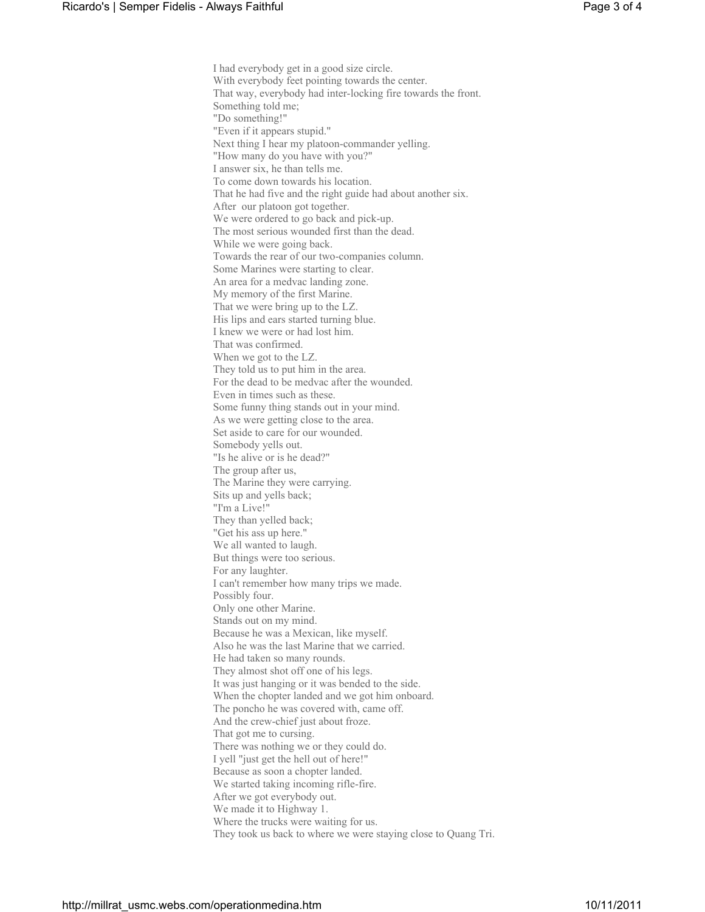I had everybody get in a good size circle. With everybody feet pointing towards the center. That way, everybody had inter-locking fire towards the front. Something told me; "Do something!" "Even if it appears stupid." Next thing I hear my platoon-commander yelling. "How many do you have with you?" I answer six, he than tells me. To come down towards his location. That he had five and the right guide had about another six. After our platoon got together. We were ordered to go back and pick-up. The most serious wounded first than the dead. While we were going back. Towards the rear of our two-companies column. Some Marines were starting to clear. An area for a medvac landing zone. My memory of the first Marine. That we were bring up to the LZ. His lips and ears started turning blue. I knew we were or had lost him. That was confirmed. When we got to the LZ. They told us to put him in the area. For the dead to be medvac after the wounded. Even in times such as these. Some funny thing stands out in your mind. As we were getting close to the area. Set aside to care for our wounded. Somebody yells out. "Is he alive or is he dead?" The group after us, The Marine they were carrying. Sits up and yells back; "I'm a Live!" They than yelled back; "Get his ass up here." We all wanted to laugh. But things were too serious. For any laughter. I can't remember how many trips we made. Possibly four. Only one other Marine. Stands out on my mind. Because he was a Mexican, like myself. Also he was the last Marine that we carried. He had taken so many rounds. They almost shot off one of his legs. It was just hanging or it was bended to the side. When the chopter landed and we got him onboard. The poncho he was covered with, came off. And the crew-chief just about froze. That got me to cursing. There was nothing we or they could do. I yell "just get the hell out of here!" Because as soon a chopter landed. We started taking incoming rifle-fire. After we got everybody out. We made it to Highway 1. Where the trucks were waiting for us. They took us back to where we were staying close to Quang Tri.